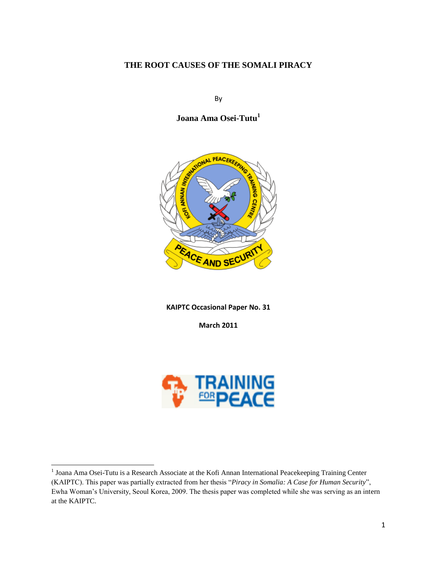# **THE ROOT CAUSES OF THE SOMALI PIRACY**

By

**Joana Ama Osei-Tutu<sup>1</sup>**



**KAIPTC Occasional Paper No. 31**

**March 2011**



 1 Joana Ama Osei-Tutu is a Research Associate at the Kofi Annan International Peacekeeping Training Center (KAIPTC). This paper was partially extracted from her thesis "*Piracy in Somalia: A Case for Human Security*", Ewha Woman"s University, Seoul Korea, 2009. The thesis paper was completed while she was serving as an intern at the KAIPTC.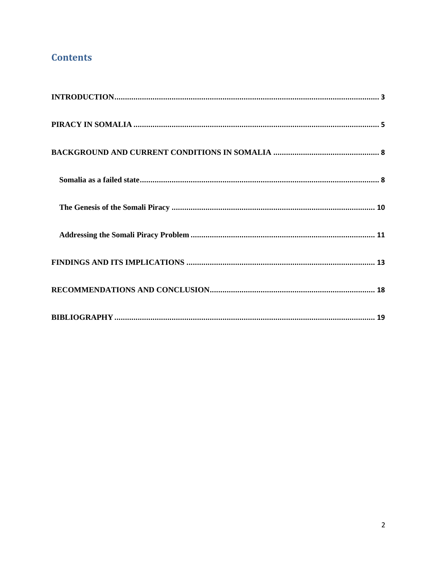# **Contents**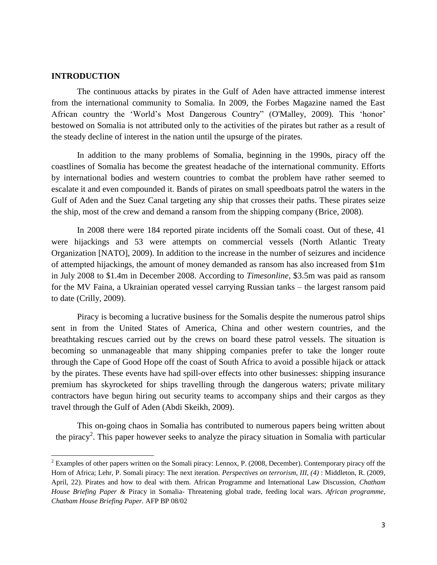# <span id="page-2-0"></span>**INTRODUCTION**

 $\overline{\phantom{a}}$ 

The continuous attacks by pirates in the Gulf of Aden have attracted immense interest from the international community to Somalia. In 2009, the Forbes Magazine named the East African country the "World"s Most Dangerous Country" (O'Malley, 2009). This "honor" bestowed on Somalia is not attributed only to the activities of the pirates but rather as a result of the steady decline of interest in the nation until the upsurge of the pirates.

In addition to the many problems of Somalia, beginning in the 1990s, piracy off the coastlines of Somalia has become the greatest headache of the international community. Efforts by international bodies and western countries to combat the problem have rather seemed to escalate it and even compounded it. Bands of pirates on small speedboats patrol the waters in the Gulf of Aden and the Suez Canal targeting any ship that crosses their paths. These pirates seize the ship, most of the crew and demand a ransom from the shipping company (Brice, 2008).

In 2008 there were 184 reported pirate incidents off the Somali coast. Out of these, 41 were hijackings and 53 were attempts on commercial vessels (North Atlantic Treaty Organization [NATO], 2009). In addition to the increase in the number of seizures and incidence of attempted hijackings, the amount of money demanded as ransom has also increased from \$1m in July 2008 to \$1.4m in December 2008. According to *Timesonline*, \$3.5m was paid as ransom for the MV Faina, a Ukrainian operated vessel carrying Russian tanks – the largest ransom paid to date (Crilly, 2009).

Piracy is becoming a lucrative business for the Somalis despite the numerous patrol ships sent in from the United States of America, China and other western countries, and the breathtaking rescues carried out by the crews on board these patrol vessels. The situation is becoming so unmanageable that many shipping companies prefer to take the longer route through the Cape of Good Hope off the coast of South Africa to avoid a possible hijack or attack by the pirates. These events have had spill-over effects into other businesses: shipping insurance premium has skyrocketed for ships travelling through the dangerous waters; private military contractors have begun hiring out security teams to accompany ships and their cargos as they travel through the Gulf of Aden (Abdi Skeikh, 2009).

This on-going chaos in Somalia has contributed to numerous papers being written about the piracy<sup>2</sup>. This paper however seeks to analyze the piracy situation in Somalia with particular

<sup>&</sup>lt;sup>2</sup> Examples of other papers written on the Somali piracy: Lennox, P. (2008, December). Contemporary piracy off the Horn of Africa; Lehr, P. Somali piracy: The next iteration. *Perspectives on terrorism, III, (4)* : Middleton, R. (2009, April, 22). Pirates and how to deal with them. African Programme and International Law Discussion, *Chatham House Briefing Paper &* Piracy in Somalia- Threatening global trade, feeding local wars. *African programme, Chatham House Briefing Paper.* AFP BP 08/02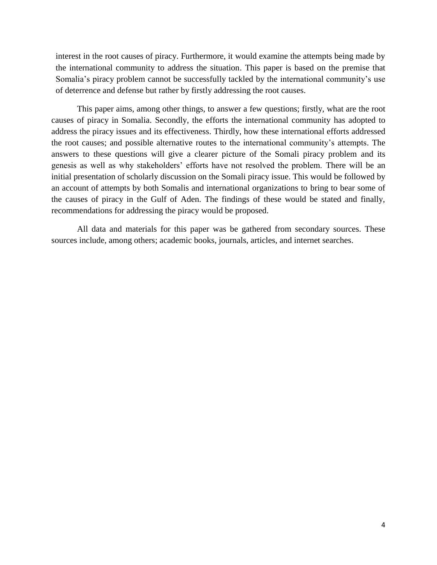interest in the root causes of piracy. Furthermore, it would examine the attempts being made by the international community to address the situation. This paper is based on the premise that Somalia's piracy problem cannot be successfully tackled by the international community's use of deterrence and defense but rather by firstly addressing the root causes.

This paper aims, among other things, to answer a few questions; firstly, what are the root causes of piracy in Somalia. Secondly, the efforts the international community has adopted to address the piracy issues and its effectiveness. Thirdly, how these international efforts addressed the root causes; and possible alternative routes to the international community"s attempts. The answers to these questions will give a clearer picture of the Somali piracy problem and its genesis as well as why stakeholders" efforts have not resolved the problem. There will be an initial presentation of scholarly discussion on the Somali piracy issue. This would be followed by an account of attempts by both Somalis and international organizations to bring to bear some of the causes of piracy in the Gulf of Aden. The findings of these would be stated and finally, recommendations for addressing the piracy would be proposed.

All data and materials for this paper was be gathered from secondary sources. These sources include, among others; academic books, journals, articles, and internet searches.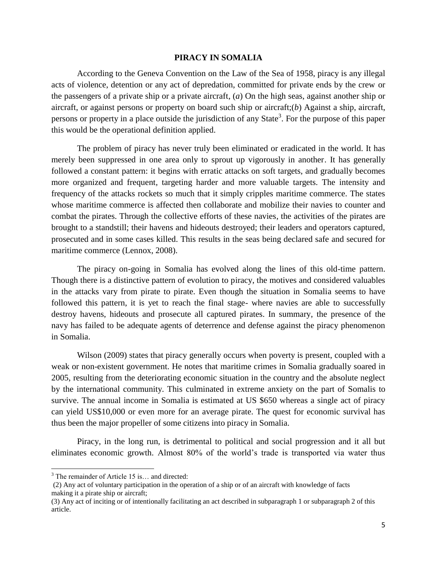#### **PIRACY IN SOMALIA**

<span id="page-4-0"></span>According to the Geneva Convention on the Law of the Sea of 1958, piracy is any illegal acts of violence, detention or any act of depredation, committed for private ends by the crew or the passengers of a private ship or a private aircraft, (*a*) On the high seas, against another ship or aircraft, or against persons or property on board such ship or aircraft;(*b*) Against a ship, aircraft, persons or property in a place outside the jurisdiction of any State<sup>3</sup>. For the purpose of this paper this would be the operational definition applied.

The problem of piracy has never truly been eliminated or eradicated in the world. It has merely been suppressed in one area only to sprout up vigorously in another. It has generally followed a constant pattern: it begins with erratic attacks on soft targets, and gradually becomes more organized and frequent, targeting harder and more valuable targets. The intensity and frequency of the attacks rockets so much that it simply cripples maritime commerce. The states whose maritime commerce is affected then collaborate and mobilize their navies to counter and combat the pirates. Through the collective efforts of these navies, the activities of the pirates are brought to a standstill; their havens and hideouts destroyed; their leaders and operators captured, prosecuted and in some cases killed. This results in the seas being declared safe and secured for maritime commerce (Lennox, 2008).

The piracy on-going in Somalia has evolved along the lines of this old-time pattern. Though there is a distinctive pattern of evolution to piracy, the motives and considered valuables in the attacks vary from pirate to pirate. Even though the situation in Somalia seems to have followed this pattern, it is yet to reach the final stage- where navies are able to successfully destroy havens, hideouts and prosecute all captured pirates. In summary, the presence of the navy has failed to be adequate agents of deterrence and defense against the piracy phenomenon in Somalia.

Wilson (2009) states that piracy generally occurs when poverty is present, coupled with a weak or non-existent government. He notes that maritime crimes in Somalia gradually soared in 2005, resulting from the deteriorating economic situation in the country and the absolute neglect by the international community. This culminated in extreme anxiety on the part of Somalis to survive. The annual income in Somalia is estimated at US \$650 whereas a single act of piracy can yield US\$10,000 or even more for an average pirate. The quest for economic survival has thus been the major propeller of some citizens into piracy in Somalia.

Piracy, in the long run, is detrimental to political and social progression and it all but eliminates economic growth. Almost 80% of the world"s trade is transported via water thus

l

 $3$  The remainder of Article 15 is... and directed:

<sup>(2)</sup> Any act of voluntary participation in the operation of a ship or of an aircraft with knowledge of facts making it a pirate ship or aircraft;

<sup>(3)</sup> Any act of inciting or of intentionally facilitating an act described in subparagraph 1 or subparagraph 2 of this article.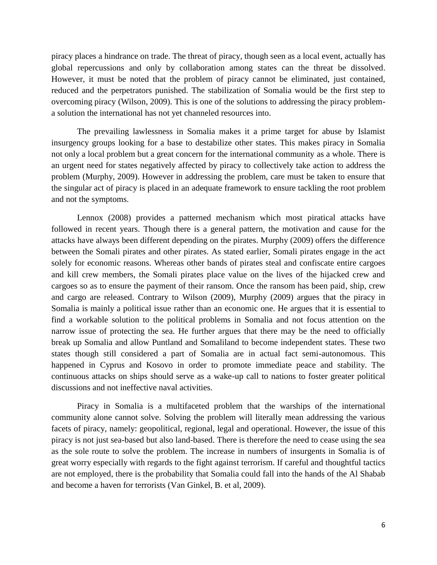piracy places a hindrance on trade. The threat of piracy, though seen as a local event, actually has global repercussions and only by collaboration among states can the threat be dissolved. However, it must be noted that the problem of piracy cannot be eliminated, just contained, reduced and the perpetrators punished. The stabilization of Somalia would be the first step to overcoming piracy (Wilson, 2009). This is one of the solutions to addressing the piracy problema solution the international has not yet channeled resources into.

The prevailing lawlessness in Somalia makes it a prime target for abuse by Islamist insurgency groups looking for a base to destabilize other states. This makes piracy in Somalia not only a local problem but a great concern for the international community as a whole. There is an urgent need for states negatively affected by piracy to collectively take action to address the problem (Murphy, 2009). However in addressing the problem, care must be taken to ensure that the singular act of piracy is placed in an adequate framework to ensure tackling the root problem and not the symptoms.

Lennox (2008) provides a patterned mechanism which most piratical attacks have followed in recent years. Though there is a general pattern, the motivation and cause for the attacks have always been different depending on the pirates. Murphy (2009) offers the difference between the Somali pirates and other pirates. As stated earlier, Somali pirates engage in the act solely for economic reasons. Whereas other bands of pirates steal and confiscate entire cargoes and kill crew members, the Somali pirates place value on the lives of the hijacked crew and cargoes so as to ensure the payment of their ransom. Once the ransom has been paid, ship, crew and cargo are released. Contrary to Wilson (2009), Murphy (2009) argues that the piracy in Somalia is mainly a political issue rather than an economic one. He argues that it is essential to find a workable solution to the political problems in Somalia and not focus attention on the narrow issue of protecting the sea. He further argues that there may be the need to officially break up Somalia and allow Puntland and Somaliland to become independent states. These two states though still considered a part of Somalia are in actual fact semi-autonomous. This happened in Cyprus and Kosovo in order to promote immediate peace and stability. The continuous attacks on ships should serve as a wake-up call to nations to foster greater political discussions and not ineffective naval activities.

Piracy in Somalia is a multifaceted problem that the warships of the international community alone cannot solve. Solving the problem will literally mean addressing the various facets of piracy, namely: geopolitical, regional, legal and operational. However, the issue of this piracy is not just sea-based but also land-based. There is therefore the need to cease using the sea as the sole route to solve the problem. The increase in numbers of insurgents in Somalia is of great worry especially with regards to the fight against terrorism. If careful and thoughtful tactics are not employed, there is the probability that Somalia could fall into the hands of the Al Shabab and become a haven for terrorists (Van Ginkel, B. et al, 2009).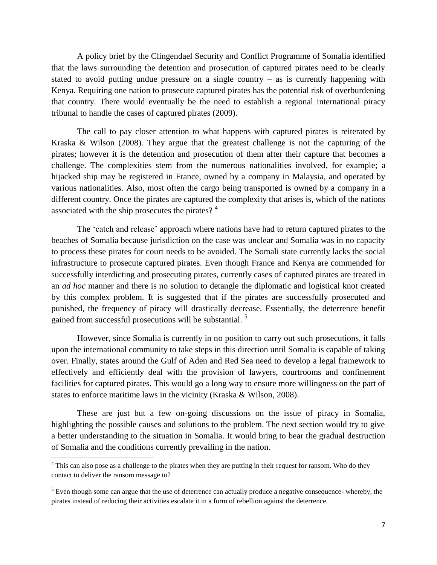A policy brief by the Clingendael Security and Conflict Programme of Somalia identified that the laws surrounding the detention and prosecution of captured pirates need to be clearly stated to avoid putting undue pressure on a single country – as is currently happening with Kenya. Requiring one nation to prosecute captured pirates has the potential risk of overburdening that country. There would eventually be the need to establish a regional international piracy tribunal to handle the cases of captured pirates (2009).

The call to pay closer attention to what happens with captured pirates is reiterated by Kraska & Wilson (2008). They argue that the greatest challenge is not the capturing of the pirates; however it is the detention and prosecution of them after their capture that becomes a challenge. The complexities stem from the numerous nationalities involved, for example; a hijacked ship may be registered in France, owned by a company in Malaysia, and operated by various nationalities. Also, most often the cargo being transported is owned by a company in a different country. Once the pirates are captured the complexity that arises is, which of the nations associated with the ship prosecutes the pirates?  $4^4$ 

The 'catch and release' approach where nations have had to return captured pirates to the beaches of Somalia because jurisdiction on the case was unclear and Somalia was in no capacity to process these pirates for court needs to be avoided. The Somali state currently lacks the social infrastructure to prosecute captured pirates. Even though France and Kenya are commended for successfully interdicting and prosecuting pirates, currently cases of captured pirates are treated in an *ad hoc* manner and there is no solution to detangle the diplomatic and logistical knot created by this complex problem. It is suggested that if the pirates are successfully prosecuted and punished, the frequency of piracy will drastically decrease. Essentially, the deterrence benefit gained from successful prosecutions will be substantial. <sup>5</sup>

However, since Somalia is currently in no position to carry out such prosecutions, it falls upon the international community to take steps in this direction until Somalia is capable of taking over. Finally, states around the Gulf of Aden and Red Sea need to develop a legal framework to effectively and efficiently deal with the provision of lawyers, courtrooms and confinement facilities for captured pirates. This would go a long way to ensure more willingness on the part of states to enforce maritime laws in the vicinity (Kraska & Wilson, 2008).

These are just but a few on-going discussions on the issue of piracy in Somalia, highlighting the possible causes and solutions to the problem. The next section would try to give a better understanding to the situation in Somalia. It would bring to bear the gradual destruction of Somalia and the conditions currently prevailing in the nation.

 $\overline{a}$ 

<sup>&</sup>lt;sup>4</sup> This can also pose as a challenge to the pirates when they are putting in their request for ransom. Who do they contact to deliver the ransom message to?

 $<sup>5</sup>$  Even though some can argue that the use of deterrence can actually produce a negative consequence- whereby, the</sup> pirates instead of reducing their activities escalate it in a form of rebellion against the deterrence.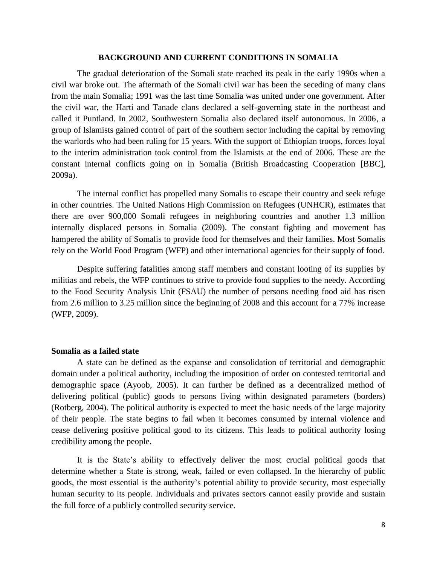# **BACKGROUND AND CURRENT CONDITIONS IN SOMALIA**

<span id="page-7-0"></span>The gradual deterioration of the Somali state reached its peak in the early 1990s when a civil war broke out. The aftermath of the Somali civil war has been the seceding of many clans from the main Somalia; 1991 was the last time Somalia was united under one government. After the civil war, the Harti and Tanade clans declared a self-governing state in the northeast and called it Puntland. In 2002, Southwestern Somalia also declared itself autonomous. In 2006, a group of Islamists gained control of part of the southern sector including the capital by removing the warlords who had been ruling for 15 years. With the support of Ethiopian troops, forces loyal to the interim administration took control from the Islamists at the end of 2006. These are the constant internal conflicts going on in Somalia (British Broadcasting Cooperation [BBC], 2009a).

The internal conflict has propelled many Somalis to escape their country and seek refuge in other countries. The United Nations High Commission on Refugees (UNHCR), estimates that there are over 900,000 Somali refugees in neighboring countries and another 1.3 million internally displaced persons in Somalia (2009). The constant fighting and movement has hampered the ability of Somalis to provide food for themselves and their families. Most Somalis rely on the World Food Program (WFP) and other international agencies for their supply of food.

Despite suffering fatalities among staff members and constant looting of its supplies by militias and rebels, the WFP continues to strive to provide food supplies to the needy. According to the Food Security Analysis Unit (FSAU) the number of persons needing food aid has risen from 2.6 million to 3.25 million since the beginning of 2008 and this account for a 77% increase (WFP, 2009).

## <span id="page-7-1"></span>**Somalia as a failed state**

A state can be defined as the expanse and consolidation of territorial and demographic domain under a political authority, including the imposition of order on contested territorial and demographic space (Ayoob, 2005). It can further be defined as a decentralized method of delivering political (public) goods to persons living within designated parameters (borders) (Rotberg, 2004). The political authority is expected to meet the basic needs of the large majority of their people. The state begins to fail when it becomes consumed by internal violence and cease delivering positive political good to its citizens. This leads to political authority losing credibility among the people.

It is the State"s ability to effectively deliver the most crucial political goods that determine whether a State is strong, weak, failed or even collapsed. In the hierarchy of public goods, the most essential is the authority"s potential ability to provide security, most especially human security to its people. Individuals and privates sectors cannot easily provide and sustain the full force of a publicly controlled security service.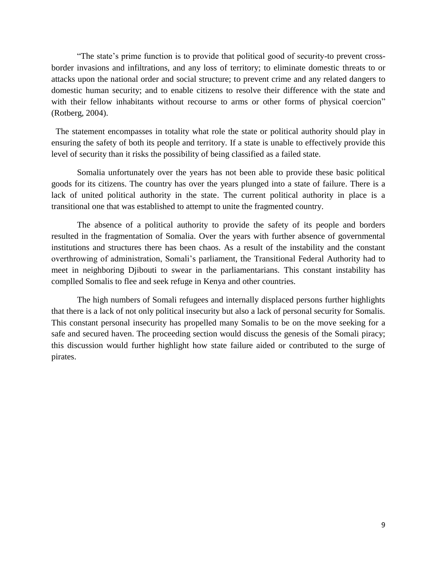"The state's prime function is to provide that political good of security-to prevent crossborder invasions and infiltrations, and any loss of territory; to eliminate domestic threats to or attacks upon the national order and social structure; to prevent crime and any related dangers to domestic human security; and to enable citizens to resolve their difference with the state and with their fellow inhabitants without recourse to arms or other forms of physical coercion" (Rotberg, 2004).

The statement encompasses in totality what role the state or political authority should play in ensuring the safety of both its people and territory. If a state is unable to effectively provide this level of security than it risks the possibility of being classified as a failed state.

Somalia unfortunately over the years has not been able to provide these basic political goods for its citizens. The country has over the years plunged into a state of failure. There is a lack of united political authority in the state. The current political authority in place is a transitional one that was established to attempt to unite the fragmented country.

The absence of a political authority to provide the safety of its people and borders resulted in the fragmentation of Somalia. Over the years with further absence of governmental institutions and structures there has been chaos. As a result of the instability and the constant overthrowing of administration, Somali"s parliament, the Transitional Federal Authority had to meet in neighboring Djibouti to swear in the parliamentarians. This constant instability has complled Somalis to flee and seek refuge in Kenya and other countries.

The high numbers of Somali refugees and internally displaced persons further highlights that there is a lack of not only political insecurity but also a lack of personal security for Somalis. This constant personal insecurity has propelled many Somalis to be on the move seeking for a safe and secured haven. The proceeding section would discuss the genesis of the Somali piracy; this discussion would further highlight how state failure aided or contributed to the surge of pirates.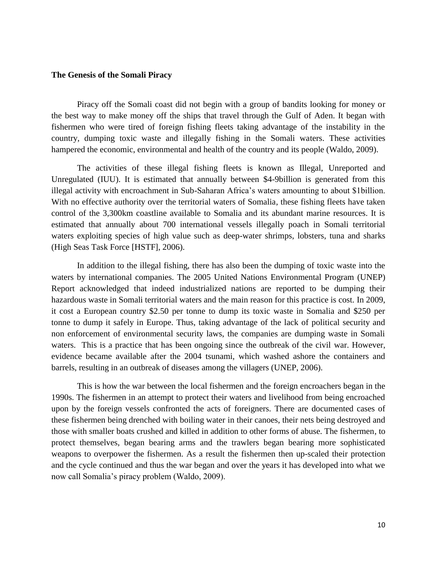## <span id="page-9-0"></span>**The Genesis of the Somali Piracy**

Piracy off the Somali coast did not begin with a group of bandits looking for money or the best way to make money off the ships that travel through the Gulf of Aden. It began with fishermen who were tired of foreign fishing fleets taking advantage of the instability in the country, dumping toxic waste and illegally fishing in the Somali waters. These activities hampered the economic, environmental and health of the country and its people (Waldo, 2009).

The activities of these illegal fishing fleets is known as Illegal, Unreported and Unregulated (IUU). It is estimated that annually between \$4-9billion is generated from this illegal activity with encroachment in Sub-Saharan Africa"s waters amounting to about \$1billion. With no effective authority over the territorial waters of Somalia, these fishing fleets have taken control of the 3,300km coastline available to Somalia and its abundant marine resources. It is estimated that annually about 700 international vessels illegally poach in Somali territorial waters exploiting species of high value such as deep-water shrimps, lobsters, tuna and sharks (High Seas Task Force [HSTF], 2006).

In addition to the illegal fishing, there has also been the dumping of toxic waste into the waters by international companies. The 2005 United Nations Environmental Program (UNEP) Report acknowledged that indeed industrialized nations are reported to be dumping their hazardous waste in Somali territorial waters and the main reason for this practice is cost. In 2009, it cost a European country \$2.50 per tonne to dump its toxic waste in Somalia and \$250 per tonne to dump it safely in Europe. Thus, taking advantage of the lack of political security and non enforcement of environmental security laws, the companies are dumping waste in Somali waters. This is a practice that has been ongoing since the outbreak of the civil war. However, evidence became available after the 2004 tsunami, which washed ashore the containers and barrels, resulting in an outbreak of diseases among the villagers (UNEP, 2006).

This is how the war between the local fishermen and the foreign encroachers began in the 1990s. The fishermen in an attempt to protect their waters and livelihood from being encroached upon by the foreign vessels confronted the acts of foreigners. There are documented cases of these fishermen being drenched with boiling water in their canoes, their nets being destroyed and those with smaller boats crushed and killed in addition to other forms of abuse. The fishermen, to protect themselves, began bearing arms and the trawlers began bearing more sophisticated weapons to overpower the fishermen. As a result the fishermen then up-scaled their protection and the cycle continued and thus the war began and over the years it has developed into what we now call Somalia"s piracy problem (Waldo, 2009).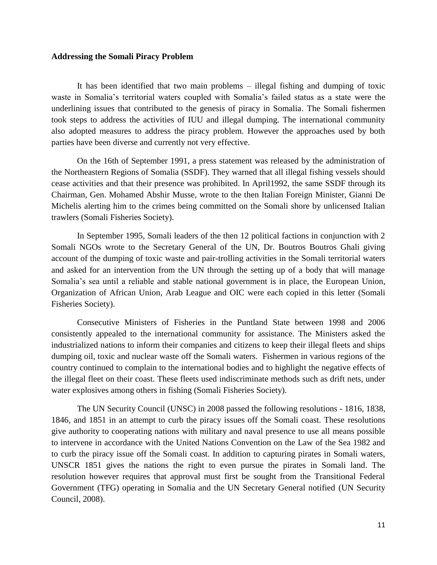#### <span id="page-10-0"></span>**Addressing the Somali Piracy Problem**

It has been identified that two main problems – illegal fishing and dumping of toxic waste in Somalia"s territorial waters coupled with Somalia"s failed status as a state were the underlining issues that contributed to the genesis of piracy in Somalia. The Somali fishermen took steps to address the activities of IUU and illegal dumping. The international community also adopted measures to address the piracy problem. However the approaches used by both parties have been diverse and currently not very effective.

On the 16th of September 1991, a press statement was released by the administration of the Northeastern Regions of Somalia (SSDF). They warned that all illegal fishing vessels should cease activities and that their presence was prohibited. In April1992, the same SSDF through its Chairman, Gen. Mohamed Abshir Musse, wrote to the then Italian Foreign Minister, Gianni De Michelis alerting him to the crimes being committed on the Somali shore by unlicensed Italian trawlers (Somali Fisheries Society).

In September 1995, Somali leaders of the then 12 political factions in conjunction with 2 Somali NGOs wrote to the Secretary General of the UN, Dr. Boutros Boutros Ghali giving account of the dumping of toxic waste and pair-trolling activities in the Somali territorial waters and asked for an intervention from the UN through the setting up of a body that will manage Somalia's sea until a reliable and stable national government is in place, the European Union, Organization of African Union, Arab League and OIC were each copied in this letter (Somali Fisheries Society).

Consecutive Ministers of Fisheries in the Puntland State between 1998 and 2006 consistently appealed to the international community for assistance. The Ministers asked the industrialized nations to inform their companies and citizens to keep their illegal fleets and ships dumping oil, toxic and nuclear waste off the Somali waters. Fishermen in various regions of the country continued to complain to the international bodies and to highlight the negative effects of the illegal fleet on their coast. These fleets used indiscriminate methods such as drift nets, under water explosives among others in fishing (Somali Fisheries Society).

The UN Security Council (UNSC) in 2008 passed the following resolutions - 1816, 1838, 1846, and 1851 in an attempt to curb the piracy issues off the Somali coast. These resolutions give authority to cooperating nations with military and naval presence to use all means possible to intervene in accordance with the United Nations Convention on the Law of the Sea 1982 and to curb the piracy issue off the Somali coast. In addition to capturing pirates in Somali waters, UNSCR 1851 gives the nations the right to even pursue the pirates in Somali land. The resolution however requires that approval must first be sought from the Transitional Federal Government (TFG) operating in Somalia and the UN Secretary General notified (UN Security Council, 2008).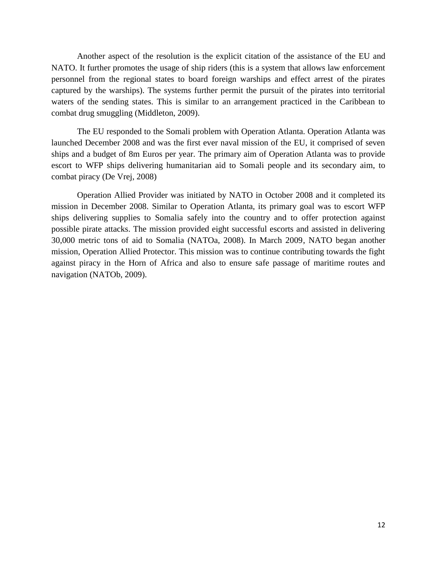Another aspect of the resolution is the explicit citation of the assistance of the EU and NATO. It further promotes the usage of ship riders (this is a system that allows law enforcement personnel from the regional states to board foreign warships and effect arrest of the pirates captured by the warships). The systems further permit the pursuit of the pirates into territorial waters of the sending states. This is similar to an arrangement practiced in the Caribbean to combat drug smuggling (Middleton, 2009).

The EU responded to the Somali problem with Operation Atlanta. Operation Atlanta was launched December 2008 and was the first ever naval mission of the EU, it comprised of seven ships and a budget of 8m Euros per year. The primary aim of Operation Atlanta was to provide escort to WFP ships delivering humanitarian aid to Somali people and its secondary aim, to combat piracy (De Vrej, 2008)

Operation Allied Provider was initiated by NATO in October 2008 and it completed its mission in December 2008. Similar to Operation Atlanta, its primary goal was to escort WFP ships delivering supplies to Somalia safely into the country and to offer protection against possible pirate attacks. The mission provided eight successful escorts and assisted in delivering 30,000 metric tons of aid to Somalia (NATOa, 2008). In March 2009, NATO began another mission, Operation Allied Protector. This mission was to continue contributing towards the fight against piracy in the Horn of Africa and also to ensure safe passage of maritime routes and navigation (NATOb, 2009).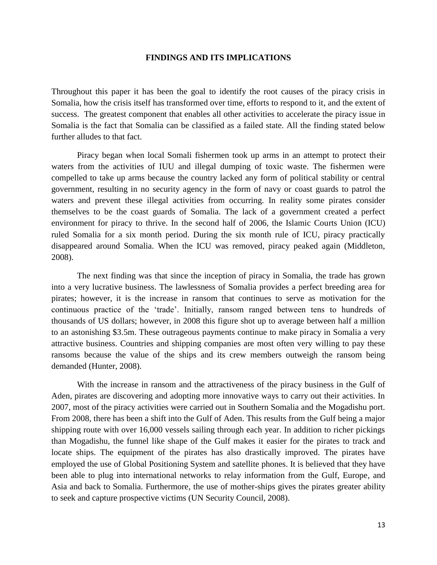#### **FINDINGS AND ITS IMPLICATIONS**

<span id="page-12-0"></span>Throughout this paper it has been the goal to identify the root causes of the piracy crisis in Somalia, how the crisis itself has transformed over time, efforts to respond to it, and the extent of success. The greatest component that enables all other activities to accelerate the piracy issue in Somalia is the fact that Somalia can be classified as a failed state. All the finding stated below further alludes to that fact.

Piracy began when local Somali fishermen took up arms in an attempt to protect their waters from the activities of IUU and illegal dumping of toxic waste. The fishermen were compelled to take up arms because the country lacked any form of political stability or central government, resulting in no security agency in the form of navy or coast guards to patrol the waters and prevent these illegal activities from occurring. In reality some pirates consider themselves to be the coast guards of Somalia. The lack of a government created a perfect environment for piracy to thrive. In the second half of 2006, the Islamic Courts Union (ICU) ruled Somalia for a six month period. During the six month rule of ICU, piracy practically disappeared around Somalia. When the ICU was removed, piracy peaked again (Middleton, 2008).

The next finding was that since the inception of piracy in Somalia, the trade has grown into a very lucrative business. The lawlessness of Somalia provides a perfect breeding area for pirates; however, it is the increase in ransom that continues to serve as motivation for the continuous practice of the "trade". Initially, ransom ranged between tens to hundreds of thousands of US dollars; however, in 2008 this figure shot up to average between half a million to an astonishing \$3.5m. These outrageous payments continue to make piracy in Somalia a very attractive business. Countries and shipping companies are most often very willing to pay these ransoms because the value of the ships and its crew members outweigh the ransom being demanded (Hunter, 2008).

With the increase in ransom and the attractiveness of the piracy business in the Gulf of Aden, pirates are discovering and adopting more innovative ways to carry out their activities. In 2007, most of the piracy activities were carried out in Southern Somalia and the Mogadishu port. From 2008, there has been a shift into the Gulf of Aden. This results from the Gulf being a major shipping route with over 16,000 vessels sailing through each year. In addition to richer pickings than Mogadishu, the funnel like shape of the Gulf makes it easier for the pirates to track and locate ships. The equipment of the pirates has also drastically improved. The pirates have employed the use of Global Positioning System and satellite phones. It is believed that they have been able to plug into international networks to relay information from the Gulf, Europe, and Asia and back to Somalia. Furthermore, the use of mother-ships gives the pirates greater ability to seek and capture prospective victims (UN Security Council, 2008).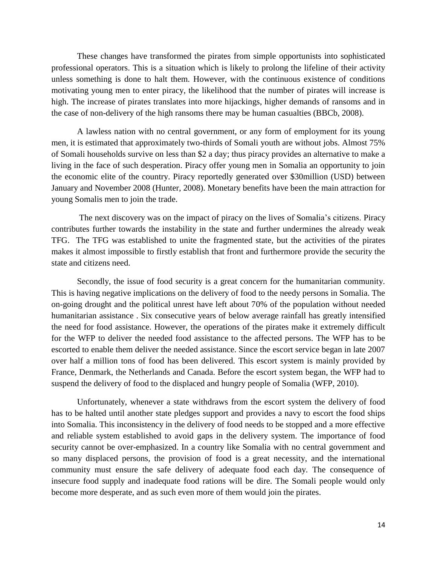These changes have transformed the pirates from simple opportunists into sophisticated professional operators. This is a situation which is likely to prolong the lifeline of their activity unless something is done to halt them. However, with the continuous existence of conditions motivating young men to enter piracy, the likelihood that the number of pirates will increase is high. The increase of pirates translates into more hijackings, higher demands of ransoms and in the case of non-delivery of the high ransoms there may be human casualties (BBCb, 2008).

A lawless nation with no central government, or any form of employment for its young men, it is estimated that approximately two-thirds of Somali youth are without jobs. Almost 75% of Somali households survive on less than \$2 a day; thus piracy provides an alternative to make a living in the face of such desperation. Piracy offer young men in Somalia an opportunity to join the economic elite of the country. Piracy reportedly generated over \$30million (USD) between January and November 2008 (Hunter, 2008). Monetary benefits have been the main attraction for young Somalis men to join the trade.

The next discovery was on the impact of piracy on the lives of Somalia"s citizens. Piracy contributes further towards the instability in the state and further undermines the already weak TFG. The TFG was established to unite the fragmented state, but the activities of the pirates makes it almost impossible to firstly establish that front and furthermore provide the security the state and citizens need.

Secondly, the issue of food security is a great concern for the humanitarian community. This is having negative implications on the delivery of food to the needy persons in Somalia. The on-going drought and the political unrest have left about 70% of the population without needed humanitarian assistance . Six consecutive years of below average rainfall has greatly intensified the need for food assistance. However, the operations of the pirates make it extremely difficult for the WFP to deliver the needed food assistance to the affected persons. The WFP has to be escorted to enable them deliver the needed assistance. Since the escort service began in late 2007 over half a million tons of food has been delivered. This escort system is mainly provided by France, Denmark, the Netherlands and Canada. Before the escort system began, the WFP had to suspend the delivery of food to the displaced and hungry people of Somalia (WFP, 2010).

Unfortunately, whenever a state withdraws from the escort system the delivery of food has to be halted until another state pledges support and provides a navy to escort the food ships into Somalia. This inconsistency in the delivery of food needs to be stopped and a more effective and reliable system established to avoid gaps in the delivery system. The importance of food security cannot be over-emphasized. In a country like Somalia with no central government and so many displaced persons, the provision of food is a great necessity, and the international community must ensure the safe delivery of adequate food each day. The consequence of insecure food supply and inadequate food rations will be dire. The Somali people would only become more desperate, and as such even more of them would join the pirates.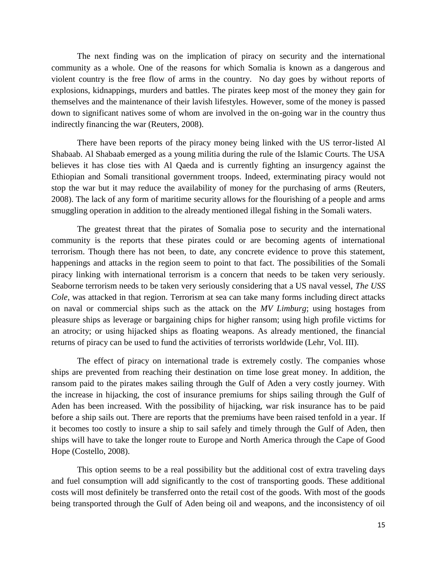The next finding was on the implication of piracy on security and the international community as a whole. One of the reasons for which Somalia is known as a dangerous and violent country is the free flow of arms in the country. No day goes by without reports of explosions, kidnappings, murders and battles. The pirates keep most of the money they gain for themselves and the maintenance of their lavish lifestyles. However, some of the money is passed down to significant natives some of whom are involved in the on-going war in the country thus indirectly financing the war (Reuters, 2008).

There have been reports of the piracy money being linked with the US terror-listed Al Shabaab. Al Shabaab emerged as a young militia during the rule of the Islamic Courts. The USA believes it has close ties with Al Qaeda and is currently fighting an insurgency against the Ethiopian and Somali transitional government troops. Indeed, exterminating piracy would not stop the war but it may reduce the availability of money for the purchasing of arms (Reuters, 2008). The lack of any form of maritime security allows for the flourishing of a people and arms smuggling operation in addition to the already mentioned illegal fishing in the Somali waters.

The greatest threat that the pirates of Somalia pose to security and the international community is the reports that these pirates could or are becoming agents of international terrorism. Though there has not been, to date, any concrete evidence to prove this statement, happenings and attacks in the region seem to point to that fact. The possibilities of the Somali piracy linking with international terrorism is a concern that needs to be taken very seriously. Seaborne terrorism needs to be taken very seriously considering that a US naval vessel, *The USS Cole*, was attacked in that region. Terrorism at sea can take many forms including direct attacks on naval or commercial ships such as the attack on the *MV Limburg*; using hostages from pleasure ships as leverage or bargaining chips for higher ransom; using high profile victims for an atrocity; or using hijacked ships as floating weapons. As already mentioned, the financial returns of piracy can be used to fund the activities of terrorists worldwide (Lehr, Vol. III).

The effect of piracy on international trade is extremely costly. The companies whose ships are prevented from reaching their destination on time lose great money. In addition, the ransom paid to the pirates makes sailing through the Gulf of Aden a very costly journey. With the increase in hijacking, the cost of insurance premiums for ships sailing through the Gulf of Aden has been increased. With the possibility of hijacking, war risk insurance has to be paid before a ship sails out. There are reports that the premiums have been raised tenfold in a year. If it becomes too costly to insure a ship to sail safely and timely through the Gulf of Aden, then ships will have to take the longer route to Europe and North America through the Cape of Good Hope (Costello, 2008).

This option seems to be a real possibility but the additional cost of extra traveling days and fuel consumption will add significantly to the cost of transporting goods. These additional costs will most definitely be transferred onto the retail cost of the goods. With most of the goods being transported through the Gulf of Aden being oil and weapons, and the inconsistency of oil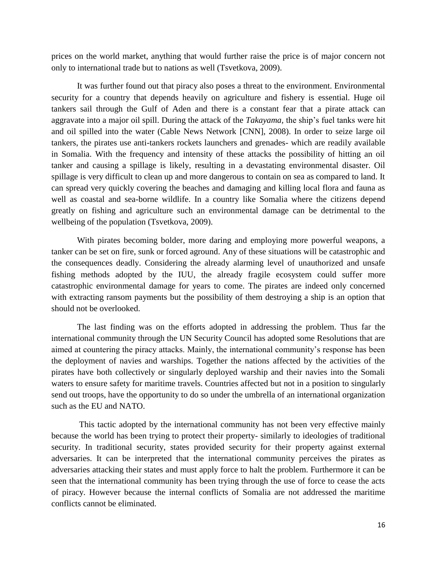prices on the world market, anything that would further raise the price is of major concern not only to international trade but to nations as well (Tsvetkova, 2009).

It was further found out that piracy also poses a threat to the environment. Environmental security for a country that depends heavily on agriculture and fishery is essential. Huge oil tankers sail through the Gulf of Aden and there is a constant fear that a pirate attack can aggravate into a major oil spill. During the attack of the *Takayama,* the ship"s fuel tanks were hit and oil spilled into the water (Cable News Network [CNN], 2008). In order to seize large oil tankers, the pirates use anti-tankers rockets launchers and grenades- which are readily available in Somalia. With the frequency and intensity of these attacks the possibility of hitting an oil tanker and causing a spillage is likely, resulting in a devastating environmental disaster. Oil spillage is very difficult to clean up and more dangerous to contain on sea as compared to land. It can spread very quickly covering the beaches and damaging and killing local flora and fauna as well as coastal and sea-borne wildlife. In a country like Somalia where the citizens depend greatly on fishing and agriculture such an environmental damage can be detrimental to the wellbeing of the population (Tsvetkova, 2009).

With pirates becoming bolder, more daring and employing more powerful weapons, a tanker can be set on fire, sunk or forced aground. Any of these situations will be catastrophic and the consequences deadly. Considering the already alarming level of unauthorized and unsafe fishing methods adopted by the IUU, the already fragile ecosystem could suffer more catastrophic environmental damage for years to come. The pirates are indeed only concerned with extracting ransom payments but the possibility of them destroying a ship is an option that should not be overlooked.

The last finding was on the efforts adopted in addressing the problem. Thus far the international community through the UN Security Council has adopted some Resolutions that are aimed at countering the piracy attacks. Mainly, the international community's response has been the deployment of navies and warships. Together the nations affected by the activities of the pirates have both collectively or singularly deployed warship and their navies into the Somali waters to ensure safety for maritime travels. Countries affected but not in a position to singularly send out troops, have the opportunity to do so under the umbrella of an international organization such as the EU and NATO.

This tactic adopted by the international community has not been very effective mainly because the world has been trying to protect their property- similarly to ideologies of traditional security. In traditional security, states provided security for their property against external adversaries. It can be interpreted that the international community perceives the pirates as adversaries attacking their states and must apply force to halt the problem. Furthermore it can be seen that the international community has been trying through the use of force to cease the acts of piracy. However because the internal conflicts of Somalia are not addressed the maritime conflicts cannot be eliminated.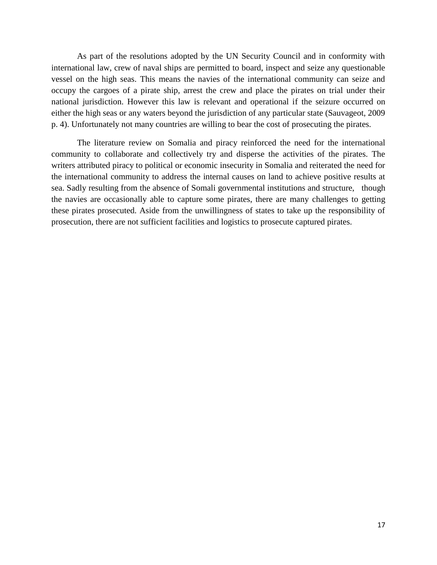As part of the resolutions adopted by the UN Security Council and in conformity with international law, crew of naval ships are permitted to board, inspect and seize any questionable vessel on the high seas. This means the navies of the international community can seize and occupy the cargoes of a pirate ship, arrest the crew and place the pirates on trial under their national jurisdiction. However this law is relevant and operational if the seizure occurred on either the high seas or any waters beyond the jurisdiction of any particular state (Sauvageot, 2009 p. 4). Unfortunately not many countries are willing to bear the cost of prosecuting the pirates.

The literature review on Somalia and piracy reinforced the need for the international community to collaborate and collectively try and disperse the activities of the pirates. The writers attributed piracy to political or economic insecurity in Somalia and reiterated the need for the international community to address the internal causes on land to achieve positive results at sea. Sadly resulting from the absence of Somali governmental institutions and structure, though the navies are occasionally able to capture some pirates, there are many challenges to getting these pirates prosecuted. Aside from the unwillingness of states to take up the responsibility of prosecution, there are not sufficient facilities and logistics to prosecute captured pirates.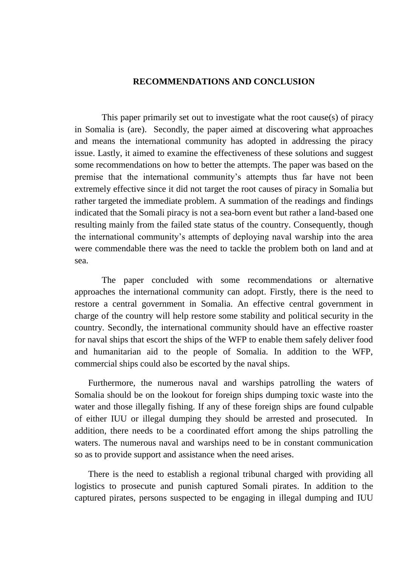## **RECOMMENDATIONS AND CONCLUSION**

<span id="page-17-0"></span>This paper primarily set out to investigate what the root cause(s) of piracy in Somalia is (are). Secondly, the paper aimed at discovering what approaches and means the international community has adopted in addressing the piracy issue. Lastly, it aimed to examine the effectiveness of these solutions and suggest some recommendations on how to better the attempts. The paper was based on the premise that the international community"s attempts thus far have not been extremely effective since it did not target the root causes of piracy in Somalia but rather targeted the immediate problem. A summation of the readings and findings indicated that the Somali piracy is not a sea-born event but rather a land-based one resulting mainly from the failed state status of the country. Consequently, though the international community"s attempts of deploying naval warship into the area were commendable there was the need to tackle the problem both on land and at sea.

The paper concluded with some recommendations or alternative approaches the international community can adopt. Firstly, there is the need to restore a central government in Somalia. An effective central government in charge of the country will help restore some stability and political security in the country. Secondly, the international community should have an effective roaster for naval ships that escort the ships of the WFP to enable them safely deliver food and humanitarian aid to the people of Somalia. In addition to the WFP, commercial ships could also be escorted by the naval ships.

Furthermore, the numerous naval and warships patrolling the waters of Somalia should be on the lookout for foreign ships dumping toxic waste into the water and those illegally fishing. If any of these foreign ships are found culpable of either IUU or illegal dumping they should be arrested and prosecuted. In addition, there needs to be a coordinated effort among the ships patrolling the waters. The numerous naval and warships need to be in constant communication so as to provide support and assistance when the need arises.

There is the need to establish a regional tribunal charged with providing all logistics to prosecute and punish captured Somali pirates. In addition to the captured pirates, persons suspected to be engaging in illegal dumping and IUU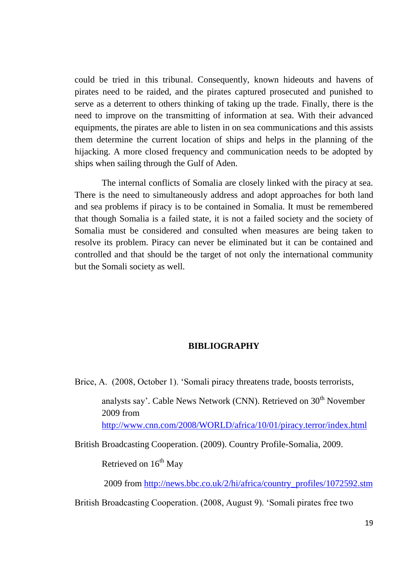could be tried in this tribunal. Consequently, known hideouts and havens of pirates need to be raided, and the pirates captured prosecuted and punished to serve as a deterrent to others thinking of taking up the trade. Finally, there is the need to improve on the transmitting of information at sea. With their advanced equipments, the pirates are able to listen in on sea communications and this assists them determine the current location of ships and helps in the planning of the hijacking. A more closed frequency and communication needs to be adopted by ships when sailing through the Gulf of Aden.

The internal conflicts of Somalia are closely linked with the piracy at sea. There is the need to simultaneously address and adopt approaches for both land and sea problems if piracy is to be contained in Somalia. It must be remembered that though Somalia is a failed state, it is not a failed society and the society of Somalia must be considered and consulted when measures are being taken to resolve its problem. Piracy can never be eliminated but it can be contained and controlled and that should be the target of not only the international community but the Somali society as well.

## **BIBLIOGRAPHY**

<span id="page-18-0"></span>Brice, A. (2008, October 1). "Somali piracy threatens trade, boosts terrorists,

analysts say'. Cable News Network (CNN). Retrieved on 30<sup>th</sup> November 2009 from <http://www.cnn.com/2008/WORLD/africa/10/01/piracy.terror/index.html>

British Broadcasting Cooperation. (2009). Country Profile-Somalia, 2009.

Retrieved on  $16<sup>th</sup>$  May

2009 from [http://news.bbc.co.uk/2/hi/africa/country\\_profiles/1072592.stm](http://news.bbc.co.uk/2/hi/africa/country_profiles/1072592.stm)

British Broadcasting Cooperation. (2008, August 9). "Somali pirates free two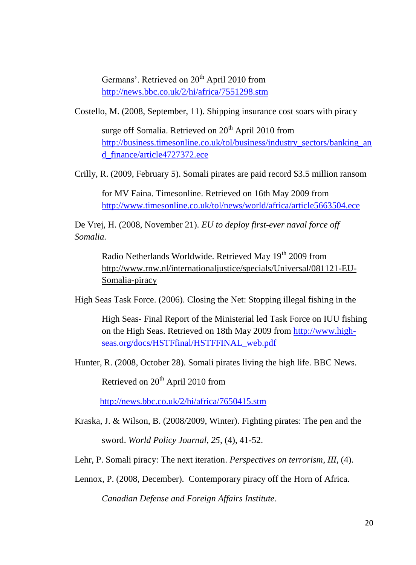Germans'. Retrieved on 20<sup>th</sup> April 2010 from <http://news.bbc.co.uk/2/hi/africa/7551298.stm>

Costello, M. (2008, September, 11). Shipping insurance cost soars with piracy

surge off Somalia. Retrieved on 20<sup>th</sup> April 2010 from [http://business.timesonline.co.uk/tol/business/industry\\_sectors/banking\\_an](http://business.timesonline.co.uk/tol/business/industry_sectors/banking_and_finance/article4727372.ece) [d\\_finance/article4727372.ece](http://business.timesonline.co.uk/tol/business/industry_sectors/banking_and_finance/article4727372.ece)

Crilly, R. (2009, February 5). Somali pirates are paid record \$3.5 million ransom

for MV Faina. Timesonline. Retrieved on 16th May 2009 from <http://www.timesonline.co.uk/tol/news/world/africa/article5663504.ece>

De Vrej, H. (2008, November 21). *EU to deploy first-ever naval force off Somalia.*

Radio Netherlands Worldwide. Retrieved May 19<sup>th</sup> 2009 from [http://www.rnw.nl/internationaljustice/specials/Universal/081121-EU-](http://www.rnw.nl/internationaljustice/specials/Universal/081121-EU-Somalia-piracy)[Somalia-piracy](http://www.rnw.nl/internationaljustice/specials/Universal/081121-EU-Somalia-piracy)

High Seas Task Force. (2006). Closing the Net: Stopping illegal fishing in the

High Seas- Final Report of the Ministerial led Task Force on IUU fishing on the High Seas. Retrieved on 18th May 2009 from [http://www.high](http://www.high-seas.org/docs/HSTFfinal/HSTFFINAL_web.pdf)[seas.org/docs/HSTFfinal/HSTFFINAL\\_web.pdf](http://www.high-seas.org/docs/HSTFfinal/HSTFFINAL_web.pdf)

Hunter, R. (2008, October 28). Somali pirates living the high life. BBC News.

Retrieved on 20<sup>th</sup> April 2010 from

<http://news.bbc.co.uk/2/hi/africa/7650415.stm>

- Kraska, J. & Wilson, B. (2008/2009, Winter). Fighting pirates: The pen and the sword. *World Policy Journal, 25,* (4), 41-52.
- Lehr, P. Somali piracy: The next iteration. *Perspectives on terrorism*, *III,* (4).

Lennox, P. (2008, December). Contemporary piracy off the Horn of Africa.

*Canadian Defense and Foreign Affairs Institute*.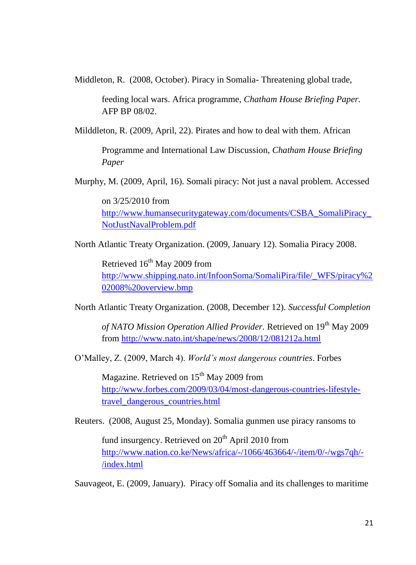Middleton, R. (2008, October). Piracy in Somalia- Threatening global trade,

feeding local wars. Africa programme, *Chatham House Briefing Paper.* AFP BP 08/02.

Milddleton, R. (2009, April, 22). Pirates and how to deal with them. African

Programme and International Law Discussion, *Chatham House Briefing Paper*

Murphy, M. (2009, April, 16). Somali piracy: Not just a naval problem. Accessed

on 3/25/2010 from [http://www.humansecuritygateway.com/documents/CSBA\\_SomaliPiracy\\_](http://www.humansecuritygateway.com/documents/CSBA_SomaliPiracy_NotJustNavalProblem.pdf) [NotJustNavalProblem.pdf](http://www.humansecuritygateway.com/documents/CSBA_SomaliPiracy_NotJustNavalProblem.pdf)

North Atlantic Treaty Organization. (2009, January 12). Somalia Piracy 2008.

Retrieved  $16<sup>th</sup>$  May 2009 from [http://www.shipping.nato.int/InfoonSoma/SomaliPira/file/\\_WFS/piracy%2](http://www.shipping.nato.int/InfoonSoma/SomaliPira/file/_WFS/piracy%202008%20overview.bmp) [02008%20overview.bmp](http://www.shipping.nato.int/InfoonSoma/SomaliPira/file/_WFS/piracy%202008%20overview.bmp)

North Atlantic Treaty Organization. (2008, December 12). *Successful Completion* 

*of NATO Mission Operation Allied Provider.* Retrieved on 19<sup>th</sup> May 2009 from<http://www.nato.int/shape/news/2008/12/081212a.html>

O"Malley, Z. (2009, March 4). *World's most dangerous countries*. Forbes

Magazine. Retrieved on 15<sup>th</sup> May 2009 from [http://www.forbes.com/2009/03/04/most-dangerous-countries-lifestyle](http://www.forbes.com/2009/03/04/most-dangerous-countries-lifestyle-travel_dangerous_countries.html)[travel\\_dangerous\\_countries.html](http://www.forbes.com/2009/03/04/most-dangerous-countries-lifestyle-travel_dangerous_countries.html)

Reuters. (2008, August 25, Monday). Somalia gunmen use piracy ransoms to

fund insurgency. Retrieved on  $20<sup>th</sup>$  April 2010 from [http://www.nation.co.ke/News/africa/-/1066/463664/-/item/0/-/wgs7qh/-](http://www.nation.co.ke/News/africa/-/1066/463664/-/item/0/-/wgs7qh/-/index.html) [/index.html](http://www.nation.co.ke/News/africa/-/1066/463664/-/item/0/-/wgs7qh/-/index.html)

Sauvageot, E. (2009, January). Piracy off Somalia and its challenges to maritime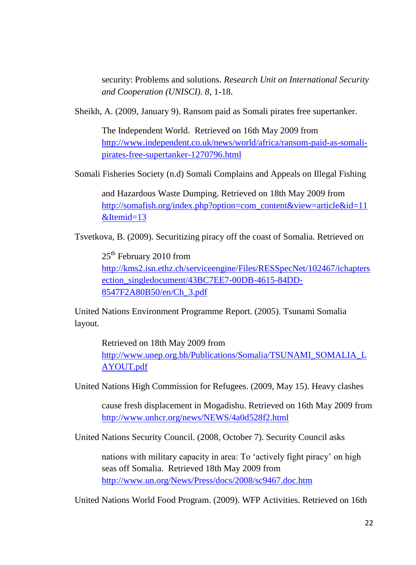security: Problems and solutions. *Research Unit on International Security and Cooperation (UNISCI). 8,* 1-18.

Sheikh, A. (2009, January 9). Ransom paid as Somali pirates free supertanker.

The Independent World. Retrieved on 16th May 2009 from [http://www.independent.co.uk/news/world/africa/ransom-paid-as-somali](http://www.independent.co.uk/news/world/africa/ransom-paid-as-somali-pirates-free-supertanker-1270796.html)[pirates-free-supertanker-1270796.html](http://www.independent.co.uk/news/world/africa/ransom-paid-as-somali-pirates-free-supertanker-1270796.html)

Somali Fisheries Society (n.d) Somali Complains and Appeals on Illegal Fishing

and Hazardous Waste Dumping. Retrieved on 18th May 2009 from [http://somafish.org/index.php?option=com\\_content&view=article&id=11](http://somafish.org/index.php?option=com_content&view=article&id=11&Itemid=13)  $&$ Itemid=13

Tsvetkova, B. (2009). Securitizing piracy off the coast of Somalia. Retrieved on

25<sup>th</sup> February 2010 from [http://kms2.isn.ethz.ch/serviceengine/Files/RESSpecNet/102467/ichapters](http://kms2.isn.ethz.ch/serviceengine/Files/RESSpecNet/102467/ichaptersection_singledocument/43BC7EE7-00DB-4615-84DD-8547F2A80B50/en/Ch_3.pdf) [ection\\_singledocument/43BC7EE7-00DB-4615-84DD-](http://kms2.isn.ethz.ch/serviceengine/Files/RESSpecNet/102467/ichaptersection_singledocument/43BC7EE7-00DB-4615-84DD-8547F2A80B50/en/Ch_3.pdf)[8547F2A80B50/en/Ch\\_3.pdf](http://kms2.isn.ethz.ch/serviceengine/Files/RESSpecNet/102467/ichaptersection_singledocument/43BC7EE7-00DB-4615-84DD-8547F2A80B50/en/Ch_3.pdf)

United Nations Environment Programme Report. (2005). Tsunami Somalia layout.

Retrieved on 18th May 2009 from [http://www.unep.org.bh/Publications/Somalia/TSUNAMI\\_SOMALIA\\_L](http://www.unep.org.bh/Publications/Somalia/TSUNAMI_SOMALIA_LAYOUT.pdf) [AYOUT.pdf](http://www.unep.org.bh/Publications/Somalia/TSUNAMI_SOMALIA_LAYOUT.pdf)

United Nations High Commission for Refugees. (2009, May 15). Heavy clashes

cause fresh displacement in Mogadishu. Retrieved on 16th May 2009 from <http://www.unhcr.org/news/NEWS/4a0d528f2.html>

United Nations Security Council. (2008, October 7). Security Council asks

nations with military capacity in area: To "actively fight piracy" on high seas off Somalia. Retrieved 18th May 2009 from <http://www.un.org/News/Press/docs/2008/sc9467.doc.htm>

United Nations World Food Program. (2009). WFP Activities. Retrieved on 16th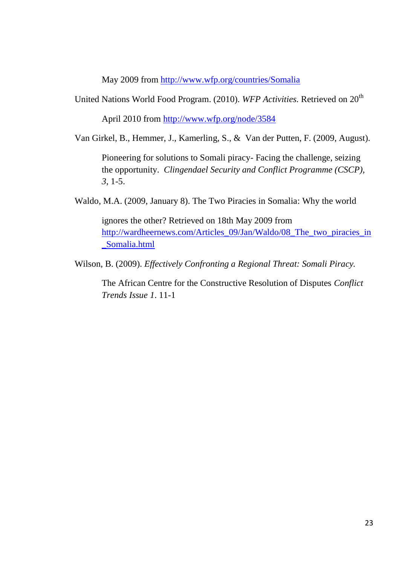May 2009 from<http://www.wfp.org/countries/Somalia>

United Nations World Food Program. (2010). *WFP Activities*. Retrieved on 20<sup>th</sup>

April 2010 from<http://www.wfp.org/node/3584>

Van Girkel, B., Hemmer, J., Kamerling, S., & Van der Putten, F. (2009, August).

Pioneering for solutions to Somali piracy- Facing the challenge, seizing the opportunity. *Clingendael Security and Conflict Programme (CSCP), 3*, 1-5.

Waldo, M.A. (2009, January 8). The Two Piracies in Somalia: Why the world

ignores the other? Retrieved on 18th May 2009 from [http://wardheernews.com/Articles\\_09/Jan/Waldo/08\\_The\\_two\\_piracies\\_in](http://wardheernews.com/Articles_09/Jan/Waldo/08_The_two_piracies_in_Somalia.html) [\\_Somalia.html](http://wardheernews.com/Articles_09/Jan/Waldo/08_The_two_piracies_in_Somalia.html)

Wilson, B. (2009). *Effectively Confronting a Regional Threat: Somali Piracy.* 

The African Centre for the Constructive Resolution of Disputes *Conflict Trends Issue 1*. 11-1